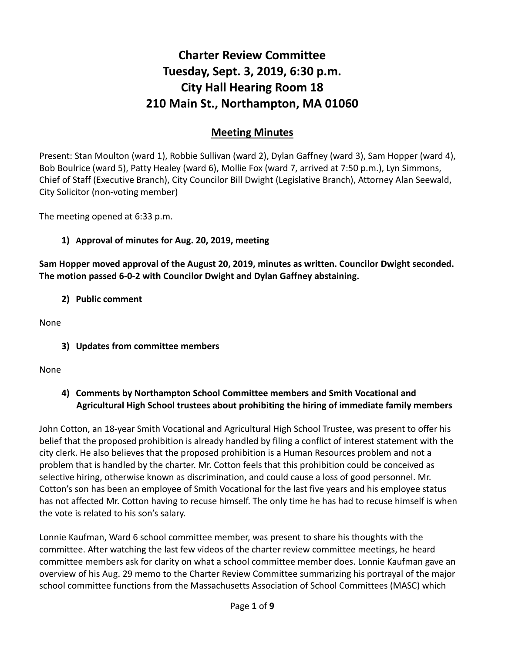# **Charter Review Committee Tuesday, Sept. 3, 2019, 6:30 p.m. City Hall Hearing Room 18 210 Main St., Northampton, MA 01060**

# **Meeting Minutes**

Present: Stan Moulton (ward 1), Robbie Sullivan (ward 2), Dylan Gaffney (ward 3), Sam Hopper (ward 4), Bob Boulrice (ward 5), Patty Healey (ward 6), Mollie Fox (ward 7, arrived at 7:50 p.m.), Lyn Simmons, Chief of Staff (Executive Branch), City Councilor Bill Dwight (Legislative Branch), Attorney Alan Seewald, City Solicitor (non-voting member)

The meeting opened at 6:33 p.m.

## **1) Approval of minutes for Aug. 20, 2019, meeting**

**Sam Hopper moved approval of the August 20, 2019, minutes as written. Councilor Dwight seconded. The motion passed 6-0-2 with Councilor Dwight and Dylan Gaffney abstaining.** 

#### **2) Public comment**

None

# **3) Updates from committee members**

None

## **4) Comments by Northampton School Committee members and Smith Vocational and Agricultural High School trustees about prohibiting the hiring of immediate family members**

John Cotton, an 18-year Smith Vocational and Agricultural High School Trustee, was present to offer his belief that the proposed prohibition is already handled by filing a conflict of interest statement with the city clerk. He also believes that the proposed prohibition is a Human Resources problem and not a problem that is handled by the charter. Mr. Cotton feels that this prohibition could be conceived as selective hiring, otherwise known as discrimination, and could cause a loss of good personnel. Mr. Cotton's son has been an employee of Smith Vocational for the last five years and his employee status has not affected Mr. Cotton having to recuse himself. The only time he has had to recuse himself is when the vote is related to his son's salary.

Lonnie Kaufman, Ward 6 school committee member, was present to share his thoughts with the committee. After watching the last few videos of the charter review committee meetings, he heard committee members ask for clarity on what a school committee member does. Lonnie Kaufman gave an overview of his Aug. 29 memo to the Charter Review Committee summarizing his portrayal of the major school committee functions from the Massachusetts Association of School Committees (MASC) which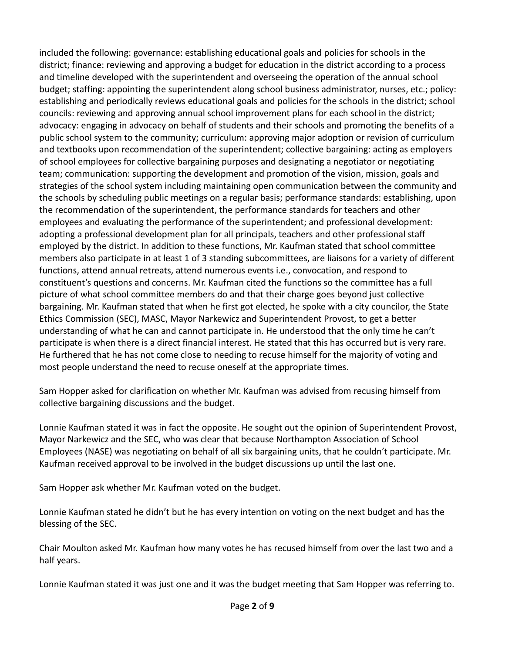included the following: governance: establishing educational goals and policies for schools in the district; finance: reviewing and approving a budget for education in the district according to a process and timeline developed with the superintendent and overseeing the operation of the annual school budget; staffing: appointing the superintendent along school business administrator, nurses, etc.; policy: establishing and periodically reviews educational goals and policies for the schools in the district; school councils: reviewing and approving annual school improvement plans for each school in the district; advocacy: engaging in advocacy on behalf of students and their schools and promoting the benefits of a public school system to the community; curriculum: approving major adoption or revision of curriculum and textbooks upon recommendation of the superintendent; collective bargaining: acting as employers of school employees for collective bargaining purposes and designating a negotiator or negotiating team; communication: supporting the development and promotion of the vision, mission, goals and strategies of the school system including maintaining open communication between the community and the schools by scheduling public meetings on a regular basis; performance standards: establishing, upon the recommendation of the superintendent, the performance standards for teachers and other employees and evaluating the performance of the superintendent; and professional development: adopting a professional development plan for all principals, teachers and other professional staff employed by the district. In addition to these functions, Mr. Kaufman stated that school committee members also participate in at least 1 of 3 standing subcommittees, are liaisons for a variety of different functions, attend annual retreats, attend numerous events i.e., convocation, and respond to constituent's questions and concerns. Mr. Kaufman cited the functions so the committee has a full picture of what school committee members do and that their charge goes beyond just collective bargaining. Mr. Kaufman stated that when he first got elected, he spoke with a city councilor, the State Ethics Commission (SEC), MASC, Mayor Narkewicz and Superintendent Provost, to get a better understanding of what he can and cannot participate in. He understood that the only time he can't participate is when there is a direct financial interest. He stated that this has occurred but is very rare. He furthered that he has not come close to needing to recuse himself for the majority of voting and most people understand the need to recuse oneself at the appropriate times.

Sam Hopper asked for clarification on whether Mr. Kaufman was advised from recusing himself from collective bargaining discussions and the budget.

Lonnie Kaufman stated it was in fact the opposite. He sought out the opinion of Superintendent Provost, Mayor Narkewicz and the SEC, who was clear that because Northampton Association of School Employees (NASE) was negotiating on behalf of all six bargaining units, that he couldn't participate. Mr. Kaufman received approval to be involved in the budget discussions up until the last one.

Sam Hopper ask whether Mr. Kaufman voted on the budget.

Lonnie Kaufman stated he didn't but he has every intention on voting on the next budget and has the blessing of the SEC.

Chair Moulton asked Mr. Kaufman how many votes he has recused himself from over the last two and a half years.

Lonnie Kaufman stated it was just one and it was the budget meeting that Sam Hopper was referring to.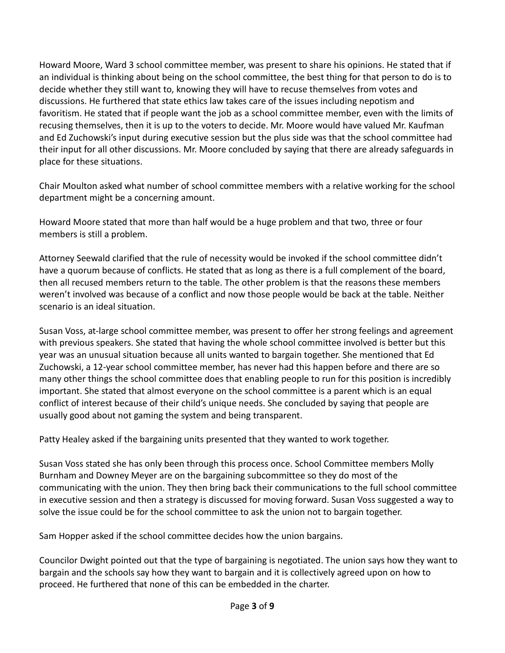Howard Moore, Ward 3 school committee member, was present to share his opinions. He stated that if an individual is thinking about being on the school committee, the best thing for that person to do is to decide whether they still want to, knowing they will have to recuse themselves from votes and discussions. He furthered that state ethics law takes care of the issues including nepotism and favoritism. He stated that if people want the job as a school committee member, even with the limits of recusing themselves, then it is up to the voters to decide. Mr. Moore would have valued Mr. Kaufman and Ed Zuchowski's input during executive session but the plus side was that the school committee had their input for all other discussions. Mr. Moore concluded by saying that there are already safeguards in place for these situations.

Chair Moulton asked what number of school committee members with a relative working for the school department might be a concerning amount.

Howard Moore stated that more than half would be a huge problem and that two, three or four members is still a problem.

Attorney Seewald clarified that the rule of necessity would be invoked if the school committee didn't have a quorum because of conflicts. He stated that as long as there is a full complement of the board, then all recused members return to the table. The other problem is that the reasons these members weren't involved was because of a conflict and now those people would be back at the table. Neither scenario is an ideal situation.

Susan Voss, at-large school committee member, was present to offer her strong feelings and agreement with previous speakers. She stated that having the whole school committee involved is better but this year was an unusual situation because all units wanted to bargain together. She mentioned that Ed Zuchowski, a 12-year school committee member, has never had this happen before and there are so many other things the school committee does that enabling people to run for this position is incredibly important. She stated that almost everyone on the school committee is a parent which is an equal conflict of interest because of their child's unique needs. She concluded by saying that people are usually good about not gaming the system and being transparent.

Patty Healey asked if the bargaining units presented that they wanted to work together.

Susan Voss stated she has only been through this process once. School Committee members Molly Burnham and Downey Meyer are on the bargaining subcommittee so they do most of the communicating with the union. They then bring back their communications to the full school committee in executive session and then a strategy is discussed for moving forward. Susan Voss suggested a way to solve the issue could be for the school committee to ask the union not to bargain together.

Sam Hopper asked if the school committee decides how the union bargains.

Councilor Dwight pointed out that the type of bargaining is negotiated. The union says how they want to bargain and the schools say how they want to bargain and it is collectively agreed upon on how to proceed. He furthered that none of this can be embedded in the charter.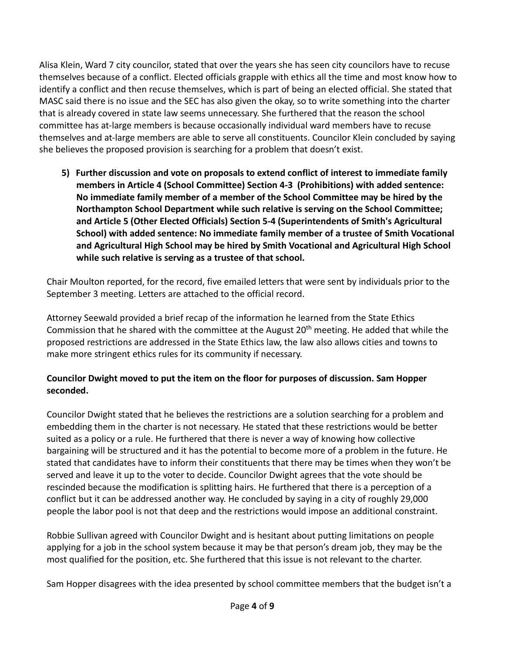Alisa Klein, Ward 7 city councilor, stated that over the years she has seen city councilors have to recuse themselves because of a conflict. Elected officials grapple with ethics all the time and most know how to identify a conflict and then recuse themselves, which is part of being an elected official. She stated that MASC said there is no issue and the SEC has also given the okay, so to write something into the charter that is already covered in state law seems unnecessary. She furthered that the reason the school committee has at-large members is because occasionally individual ward members have to recuse themselves and at-large members are able to serve all constituents. Councilor Klein concluded by saying she believes the proposed provision is searching for a problem that doesn't exist.

**5) Further discussion and vote on proposals to extend conflict of interest to immediate family members in Article 4 (School Committee) Section 4-3 (Prohibitions) with added sentence: No immediate family member of a member of the School Committee may be hired by the Northampton School Department while such relative is serving on the School Committee; and Article 5 (Other Elected Officials) Section 5-4 (Superintendents of Smith's Agricultural School) with added sentence: No immediate family member of a trustee of Smith Vocational and Agricultural High School may be hired by Smith Vocational and Agricultural High School while such relative is serving as a trustee of that school.**

Chair Moulton reported, for the record, five emailed letters that were sent by individuals prior to the September 3 meeting. Letters are attached to the official record.

Attorney Seewald provided a brief recap of the information he learned from the State Ethics Commission that he shared with the committee at the August  $20<sup>th</sup>$  meeting. He added that while the proposed restrictions are addressed in the State Ethics law, the law also allows cities and towns to make more stringent ethics rules for its community if necessary.

#### **Councilor Dwight moved to put the item on the floor for purposes of discussion. Sam Hopper seconded.**

Councilor Dwight stated that he believes the restrictions are a solution searching for a problem and embedding them in the charter is not necessary. He stated that these restrictions would be better suited as a policy or a rule. He furthered that there is never a way of knowing how collective bargaining will be structured and it has the potential to become more of a problem in the future. He stated that candidates have to inform their constituents that there may be times when they won't be served and leave it up to the voter to decide. Councilor Dwight agrees that the vote should be rescinded because the modification is splitting hairs. He furthered that there is a perception of a conflict but it can be addressed another way. He concluded by saying in a city of roughly 29,000 people the labor pool is not that deep and the restrictions would impose an additional constraint.

Robbie Sullivan agreed with Councilor Dwight and is hesitant about putting limitations on people applying for a job in the school system because it may be that person's dream job, they may be the most qualified for the position, etc. She furthered that this issue is not relevant to the charter.

Sam Hopper disagrees with the idea presented by school committee members that the budget isn't a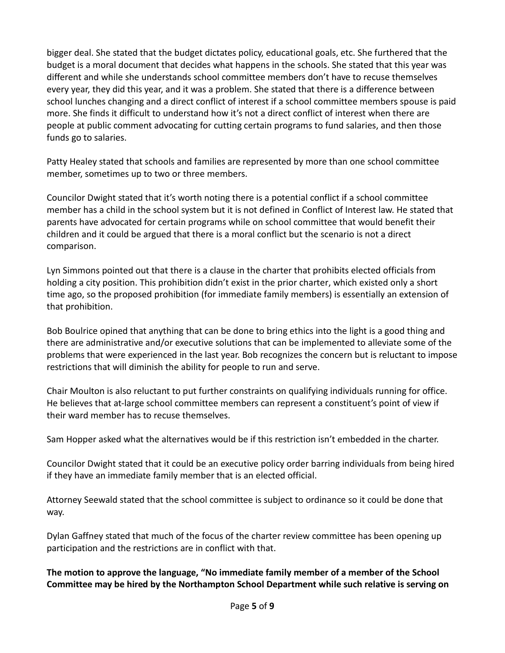bigger deal. She stated that the budget dictates policy, educational goals, etc. She furthered that the budget is a moral document that decides what happens in the schools. She stated that this year was different and while she understands school committee members don't have to recuse themselves every year, they did this year, and it was a problem. She stated that there is a difference between school lunches changing and a direct conflict of interest if a school committee members spouse is paid more. She finds it difficult to understand how it's not a direct conflict of interest when there are people at public comment advocating for cutting certain programs to fund salaries, and then those funds go to salaries.

Patty Healey stated that schools and families are represented by more than one school committee member, sometimes up to two or three members.

Councilor Dwight stated that it's worth noting there is a potential conflict if a school committee member has a child in the school system but it is not defined in Conflict of Interest law. He stated that parents have advocated for certain programs while on school committee that would benefit their children and it could be argued that there is a moral conflict but the scenario is not a direct comparison.

Lyn Simmons pointed out that there is a clause in the charter that prohibits elected officials from holding a city position. This prohibition didn't exist in the prior charter, which existed only a short time ago, so the proposed prohibition (for immediate family members) is essentially an extension of that prohibition.

Bob Boulrice opined that anything that can be done to bring ethics into the light is a good thing and there are administrative and/or executive solutions that can be implemented to alleviate some of the problems that were experienced in the last year. Bob recognizes the concern but is reluctant to impose restrictions that will diminish the ability for people to run and serve.

Chair Moulton is also reluctant to put further constraints on qualifying individuals running for office. He believes that at-large school committee members can represent a constituent's point of view if their ward member has to recuse themselves.

Sam Hopper asked what the alternatives would be if this restriction isn't embedded in the charter.

Councilor Dwight stated that it could be an executive policy order barring individuals from being hired if they have an immediate family member that is an elected official.

Attorney Seewald stated that the school committee is subject to ordinance so it could be done that way.

Dylan Gaffney stated that much of the focus of the charter review committee has been opening up participation and the restrictions are in conflict with that.

**The motion to approve the language, "No immediate family member of a member of the School Committee may be hired by the Northampton School Department while such relative is serving on**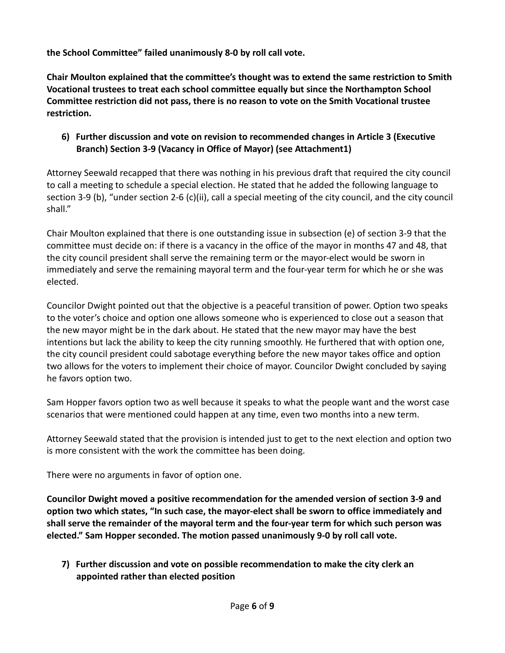**the School Committee" failed unanimously 8-0 by roll call vote.**

**Chair Moulton explained that the committee's thought was to extend the same restriction to Smith Vocational trustees to treat each school committee equally but since the Northampton School Committee restriction did not pass, there is no reason to vote on the Smith Vocational trustee restriction.** 

## **6) Further discussion and vote on revision to recommended changes in Article 3 (Executive Branch) Section 3-9 (Vacancy in Office of Mayor) (see Attachment1)**

Attorney Seewald recapped that there was nothing in his previous draft that required the city council to call a meeting to schedule a special election. He stated that he added the following language to section 3-9 (b), "under section 2-6 (c)(ii), call a special meeting of the city council, and the city council shall."

Chair Moulton explained that there is one outstanding issue in subsection (e) of section 3-9 that the committee must decide on: if there is a vacancy in the office of the mayor in months 47 and 48, that the city council president shall serve the remaining term or the mayor-elect would be sworn in immediately and serve the remaining mayoral term and the four-year term for which he or she was elected.

Councilor Dwight pointed out that the objective is a peaceful transition of power. Option two speaks to the voter's choice and option one allows someone who is experienced to close out a season that the new mayor might be in the dark about. He stated that the new mayor may have the best intentions but lack the ability to keep the city running smoothly. He furthered that with option one, the city council president could sabotage everything before the new mayor takes office and option two allows for the voters to implement their choice of mayor. Councilor Dwight concluded by saying he favors option two.

Sam Hopper favors option two as well because it speaks to what the people want and the worst case scenarios that were mentioned could happen at any time, even two months into a new term.

Attorney Seewald stated that the provision is intended just to get to the next election and option two is more consistent with the work the committee has been doing.

There were no arguments in favor of option one.

**Councilor Dwight moved a positive recommendation for the amended version of section 3-9 and option two which states, "In such case, the mayor-elect shall be sworn to office immediately and shall serve the remainder of the mayoral term and the four-year term for which such person was elected." Sam Hopper seconded. The motion passed unanimously 9-0 by roll call vote.**

**7) Further discussion and vote on possible recommendation to make the city clerk an appointed rather than elected position**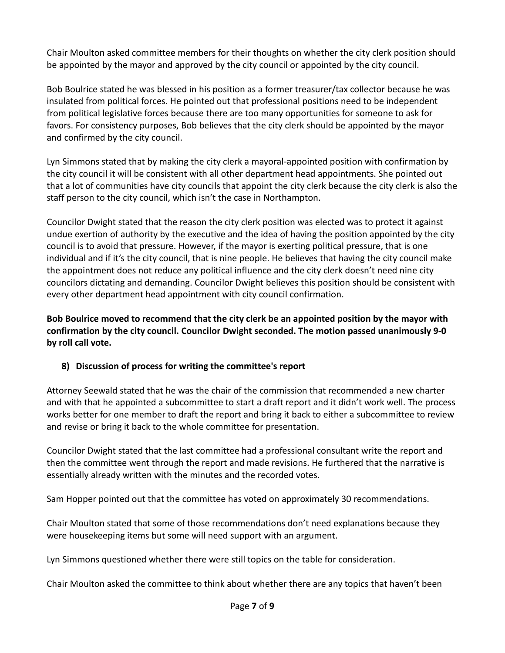Chair Moulton asked committee members for their thoughts on whether the city clerk position should be appointed by the mayor and approved by the city council or appointed by the city council.

Bob Boulrice stated he was blessed in his position as a former treasurer/tax collector because he was insulated from political forces. He pointed out that professional positions need to be independent from political legislative forces because there are too many opportunities for someone to ask for favors. For consistency purposes, Bob believes that the city clerk should be appointed by the mayor and confirmed by the city council.

Lyn Simmons stated that by making the city clerk a mayoral-appointed position with confirmation by the city council it will be consistent with all other department head appointments. She pointed out that a lot of communities have city councils that appoint the city clerk because the city clerk is also the staff person to the city council, which isn't the case in Northampton.

Councilor Dwight stated that the reason the city clerk position was elected was to protect it against undue exertion of authority by the executive and the idea of having the position appointed by the city council is to avoid that pressure. However, if the mayor is exerting political pressure, that is one individual and if it's the city council, that is nine people. He believes that having the city council make the appointment does not reduce any political influence and the city clerk doesn't need nine city councilors dictating and demanding. Councilor Dwight believes this position should be consistent with every other department head appointment with city council confirmation.

**Bob Boulrice moved to recommend that the city clerk be an appointed position by the mayor with confirmation by the city council. Councilor Dwight seconded. The motion passed unanimously 9-0 by roll call vote.** 

#### **8) Discussion of process for writing the committee's report**

Attorney Seewald stated that he was the chair of the commission that recommended a new charter and with that he appointed a subcommittee to start a draft report and it didn't work well. The process works better for one member to draft the report and bring it back to either a subcommittee to review and revise or bring it back to the whole committee for presentation.

Councilor Dwight stated that the last committee had a professional consultant write the report and then the committee went through the report and made revisions. He furthered that the narrative is essentially already written with the minutes and the recorded votes.

Sam Hopper pointed out that the committee has voted on approximately 30 recommendations.

Chair Moulton stated that some of those recommendations don't need explanations because they were housekeeping items but some will need support with an argument.

Lyn Simmons questioned whether there were still topics on the table for consideration.

Chair Moulton asked the committee to think about whether there are any topics that haven't been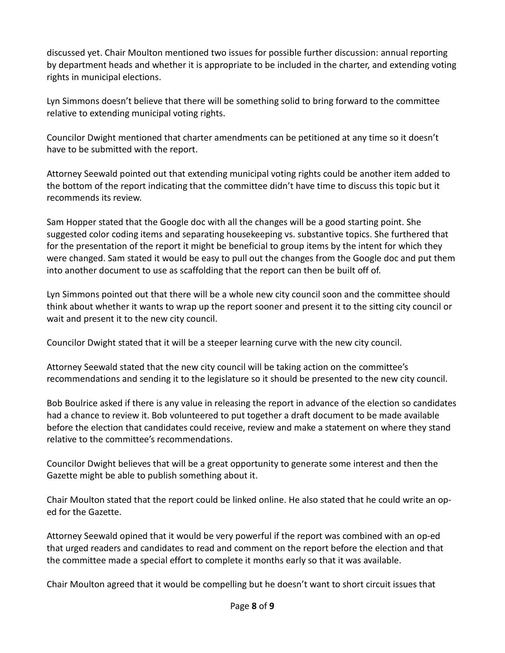discussed yet. Chair Moulton mentioned two issues for possible further discussion: annual reporting by department heads and whether it is appropriate to be included in the charter, and extending voting rights in municipal elections.

Lyn Simmons doesn't believe that there will be something solid to bring forward to the committee relative to extending municipal voting rights.

Councilor Dwight mentioned that charter amendments can be petitioned at any time so it doesn't have to be submitted with the report.

Attorney Seewald pointed out that extending municipal voting rights could be another item added to the bottom of the report indicating that the committee didn't have time to discuss this topic but it recommends its review.

Sam Hopper stated that the Google doc with all the changes will be a good starting point. She suggested color coding items and separating housekeeping vs. substantive topics. She furthered that for the presentation of the report it might be beneficial to group items by the intent for which they were changed. Sam stated it would be easy to pull out the changes from the Google doc and put them into another document to use as scaffolding that the report can then be built off of.

Lyn Simmons pointed out that there will be a whole new city council soon and the committee should think about whether it wants to wrap up the report sooner and present it to the sitting city council or wait and present it to the new city council.

Councilor Dwight stated that it will be a steeper learning curve with the new city council.

Attorney Seewald stated that the new city council will be taking action on the committee's recommendations and sending it to the legislature so it should be presented to the new city council.

Bob Boulrice asked if there is any value in releasing the report in advance of the election so candidates had a chance to review it. Bob volunteered to put together a draft document to be made available before the election that candidates could receive, review and make a statement on where they stand relative to the committee's recommendations.

Councilor Dwight believes that will be a great opportunity to generate some interest and then the Gazette might be able to publish something about it.

Chair Moulton stated that the report could be linked online. He also stated that he could write an oped for the Gazette.

Attorney Seewald opined that it would be very powerful if the report was combined with an op-ed that urged readers and candidates to read and comment on the report before the election and that the committee made a special effort to complete it months early so that it was available.

Chair Moulton agreed that it would be compelling but he doesn't want to short circuit issues that